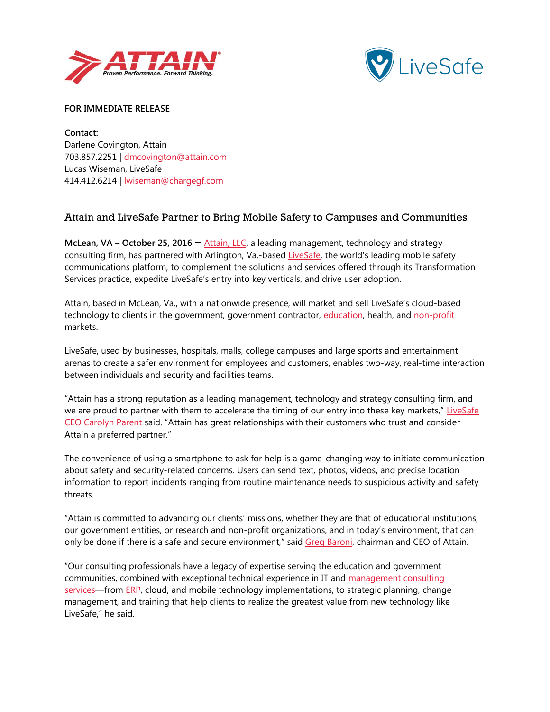



**FOR IMMEDIATE RELEASE**

**Contact:**  Darlene Covington, Attain 703.857.2251 | [dmcovington@attain.com](mailto:dmcovington@attain.com) Lucas Wiseman, LiveSafe 414.412.6214 | [lwiseman@chargegf.com](mailto:lwiseman@chargegf.com)

## Attain and LiveSafe Partner to Bring Mobile Safety to Campuses and Communities

**McLean, VA – October 25, 2016** – [Attain, LLC,](http://www.attain.com/) a leading management, technology and strategy consulting firm, has partnered with Arlington, Va.-based [LiveSafe,](http://www.livesafemobile.com/) the world's leading mobile safety communications platform, to complement the solutions and services offered through its Transformation Services practice, expedite LiveSafe's entry into key verticals, and drive user adoption.

Attain, based in McLean, Va., with a nationwide presence, will market and sell LiveSafe's cloud-based technology to clients in the government, government contractor, [education,](http://www.attain.com/industries/colleges-and-universities) health, an[d non-profit](http://www.attain.com/industries/non-profits) markets.

LiveSafe, used by businesses, hospitals, malls, college campuses and large sports and entertainment arenas to create a safer environment for employees and customers, enables two-way, real-time interaction between individuals and security and facilities teams.

"Attain has a strong reputation as a leading management, technology and strategy consulting firm, and we are proud to partner with them to accelerate the timing of our entry into these key markets," LiveSafe [CEO Carolyn Parent](http://www.livesafemobile.com/executive-team/) said. "Attain has great relationships with their customers who trust and consider Attain a preferred partner."

The convenience of using a smartphone to ask for help is a game-changing way to initiate communication about safety and security-related concerns. Users can send text, photos, videos, and precise location information to report incidents ranging from routine maintenance needs to suspicious activity and safety threats.

"Attain is committed to advancing our clients' missions, whether they are that of educational institutions, our government entities, or research and non-profit organizations, and in today's environment, that can only be done if there is a safe and secure environment," said [Greg Baroni,](http://www.attain.com/about-attain/leadership) chairman and CEO of Attain.

"Our consulting professionals have a legacy of expertise serving the education and government communities, combined with exceptional technical experience in IT and [management consulting](http://www.attain.com/services/strategy-and-management)  [services](http://www.attain.com/services/strategy-and-management)—from [ERP,](http://www.attain.com/services/erp-services) cloud, and mobile technology implementations, to strategic planning, change management, and training that help clients to realize the greatest value from new technology like LiveSafe," he said.